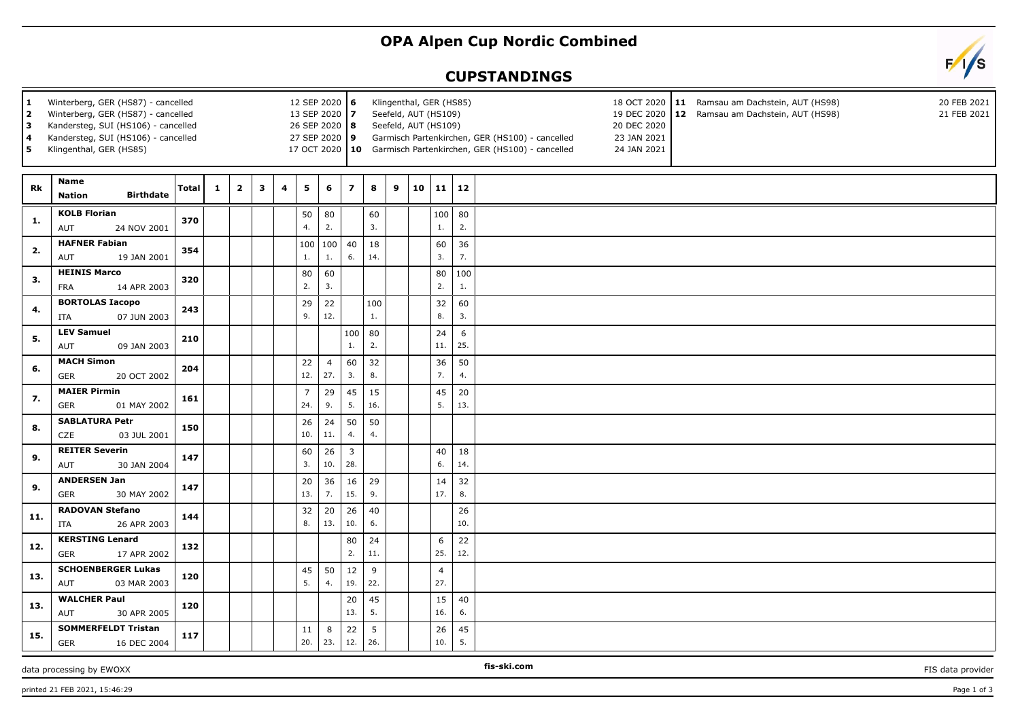## **OPA Alpen Cup Nordic Combined**

## **CUPSTANDINGS**



| $\mathbf 1$<br>2<br>3<br>4<br>5 | Winterberg, GER (HS87) - cancelled<br>Winterberg, GER (HS87) - cancelled<br>Kandersteg, SUI (HS106) - cancelled<br>Kandersteg, SUI (HS106) - cancelled<br>Klingenthal, GER (HS85) |       |              |                | 12 SEP 2020 6<br>13 SEP 2020 7<br>26 SEP 2020 8<br>27 SEP 2020 9 |   |                       | Klingenthal, GER (HS85)<br>18 OCT 2020 11 Ramsau am Dachstein, AUT (HS98)<br>20 FEB 2021<br>Seefeld, AUT (HS109)<br>19 DEC 2020<br>12 Ramsau am Dachstein, AUT (HS98)<br>21 FEB 2021<br>Seefeld, AUT (HS109)<br>20 DEC 2020<br>Garmisch Partenkirchen, GER (HS100) - cancelled<br>23 JAN 2021<br>17 OCT 2020   10 Garmisch Partenkirchen, GER (HS100) - cancelled<br>24 JAN 2021 |                         |           |   |    |                       |           |  |  |  |
|---------------------------------|-----------------------------------------------------------------------------------------------------------------------------------------------------------------------------------|-------|--------------|----------------|------------------------------------------------------------------|---|-----------------------|----------------------------------------------------------------------------------------------------------------------------------------------------------------------------------------------------------------------------------------------------------------------------------------------------------------------------------------------------------------------------------|-------------------------|-----------|---|----|-----------------------|-----------|--|--|--|
| Rk                              | Name<br><b>Birthdate</b><br><b>Nation</b>                                                                                                                                         | Total | $\mathbf{1}$ | $\overline{2}$ | 3                                                                | 4 | 5                     | 6                                                                                                                                                                                                                                                                                                                                                                                | $\overline{\mathbf{z}}$ | 8         | 9 | 10 | 11                    | 12        |  |  |  |
| 1.                              | <b>KOLB Florian</b><br>24 NOV 2001<br>AUT                                                                                                                                         | 370   |              |                |                                                                  |   | 50<br>4.              | 80<br>2.                                                                                                                                                                                                                                                                                                                                                                         |                         | 60<br>3.  |   |    | 100<br>1.             | 80<br>2.  |  |  |  |
| 2.                              | <b>HAFNER Fabian</b><br>AUT<br>19 JAN 2001                                                                                                                                        | 354   |              |                |                                                                  |   | 100<br>1.             | 100<br>1.                                                                                                                                                                                                                                                                                                                                                                        | 40<br>6.                | 18<br>14. |   |    | 60<br>3.              | 36<br>7.  |  |  |  |
| 3.                              | <b>HEINIS Marco</b><br><b>FRA</b><br>14 APR 2003                                                                                                                                  | 320   |              |                |                                                                  |   | 80<br>2.              | 60<br>3.                                                                                                                                                                                                                                                                                                                                                                         |                         |           |   |    | 80<br>2.              | 100<br>1. |  |  |  |
| 4.                              | <b>BORTOLAS Iacopo</b><br>ITA<br>07 JUN 2003                                                                                                                                      | 243   |              |                |                                                                  |   | 29<br>9.              | 22<br>12.                                                                                                                                                                                                                                                                                                                                                                        |                         | 100<br>1. |   |    | 32<br>8.              | 60<br>3.  |  |  |  |
| 5.                              | <b>LEV Samuel</b><br>AUT<br>09 JAN 2003                                                                                                                                           | 210   |              |                |                                                                  |   |                       |                                                                                                                                                                                                                                                                                                                                                                                  | 100<br>1.               | 80<br>2.  |   |    | 24<br>11.             | 6<br>25.  |  |  |  |
| 6.                              | <b>MACH Simon</b><br>GER<br>20 OCT 2002                                                                                                                                           | 204   |              |                |                                                                  |   | 22<br>12.             | $\overline{4}$<br>27.                                                                                                                                                                                                                                                                                                                                                            | 60<br>3.                | 32<br>8.  |   |    | 36<br>7.              | 50<br>4.  |  |  |  |
| 7.                              | <b>MAIER Pirmin</b><br>01 MAY 2002<br>GER                                                                                                                                         | 161   |              |                |                                                                  |   | $\overline{7}$<br>24. | 29<br>9.                                                                                                                                                                                                                                                                                                                                                                         | 45<br>5.                | 15<br>16. |   |    | 45<br>5.              | 20<br>13. |  |  |  |
| 8.                              | <b>SABLATURA Petr</b><br><b>CZE</b><br>03 JUL 2001                                                                                                                                | 150   |              |                |                                                                  |   | 26<br>10.             | 24<br>11.                                                                                                                                                                                                                                                                                                                                                                        | 50<br>4.                | 50<br>4.  |   |    |                       |           |  |  |  |
| 9.                              | <b>REITER Severin</b><br>30 JAN 2004<br>AUT                                                                                                                                       | 147   |              |                |                                                                  |   | 60<br>3.              | 26<br>10.                                                                                                                                                                                                                                                                                                                                                                        | $\overline{3}$<br>28.   |           |   |    | 40<br>6.              | 18<br>14. |  |  |  |
| 9.                              | <b>ANDERSEN Jan</b><br><b>GER</b><br>30 MAY 2002                                                                                                                                  | 147   |              |                |                                                                  |   | 20<br>13.             | 36<br>7.                                                                                                                                                                                                                                                                                                                                                                         | 16<br>15.               | 29<br>9.  |   |    | 14<br>17.             | 32<br>8.  |  |  |  |
| 11.                             | <b>RADOVAN Stefano</b><br>26 APR 2003<br>ITA                                                                                                                                      | 144   |              |                |                                                                  |   | 32<br>8.              | 20<br>13.                                                                                                                                                                                                                                                                                                                                                                        | 26<br>10.               | 40<br>6.  |   |    |                       | 26<br>10. |  |  |  |
| 12.                             | <b>KERSTING Lenard</b><br><b>GER</b><br>17 APR 2002                                                                                                                               | 132   |              |                |                                                                  |   |                       |                                                                                                                                                                                                                                                                                                                                                                                  | 80<br>2.                | 24<br>11. |   |    | 6<br>25.              | 22<br>12. |  |  |  |
| 13.                             | <b>SCHOENBERGER Lukas</b><br>03 MAR 2003<br>AUT                                                                                                                                   | 120   |              |                |                                                                  |   | 45<br>5.              | 50<br>4.                                                                                                                                                                                                                                                                                                                                                                         | 12<br>19.               | 9<br>22.  |   |    | $\overline{4}$<br>27. |           |  |  |  |
| 13.                             | <b>WALCHER Paul</b><br>30 APR 2005<br>AUT                                                                                                                                         | 120   |              |                |                                                                  |   |                       |                                                                                                                                                                                                                                                                                                                                                                                  | 20<br>13.               | 45<br>5.  |   |    | 15<br>16.             | 40<br>6.  |  |  |  |
| 15.                             | <b>SOMMERFELDT Tristan</b><br>GER<br>16 DEC 2004                                                                                                                                  | 117   |              |                |                                                                  |   | 11<br>20.             | 8<br>23.                                                                                                                                                                                                                                                                                                                                                                         | 22<br>12.               | 5<br>26.  |   |    | 26<br>10.             | 45<br>5.  |  |  |  |

## data processing by EWOXX **FIS-SHOOT CONSUMING THE-SKI.COM FIS-SKI.COM FIS** data provider

**fis-ski.com**

printed 21 FEB 2021, 15:46:29 Page 1 of 3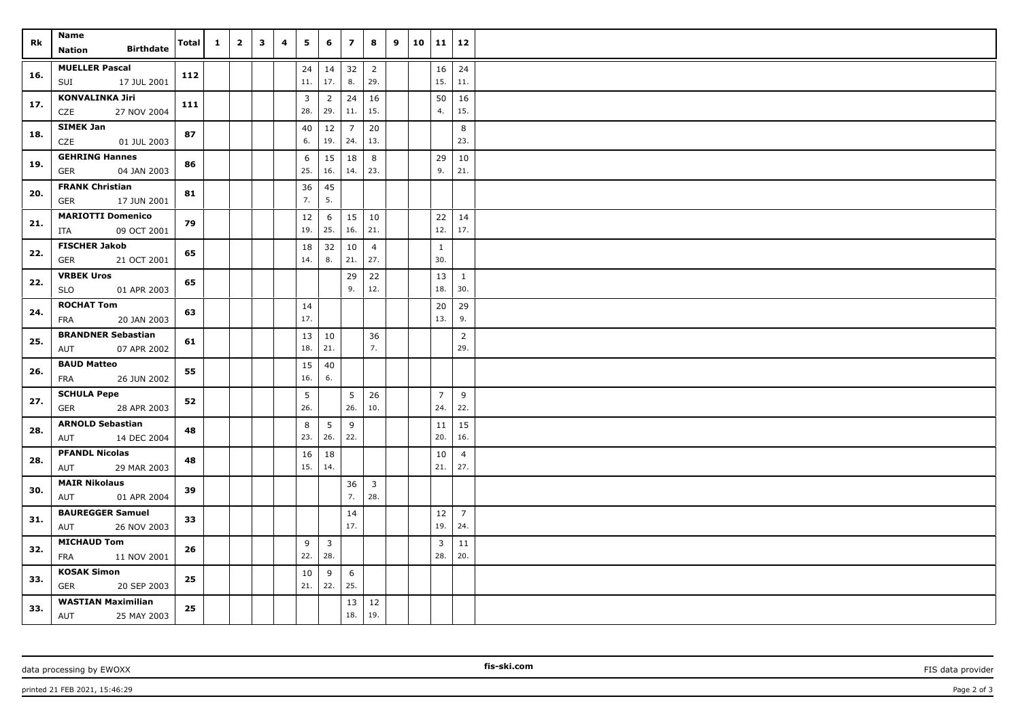| Rk  | Name<br><b>Birthdate</b><br><b>Nation</b>           | Total | $\mathbf{1}$ | $\overline{2}$ | $\overline{\mathbf{3}}$ | 4 | 5         | 6                              | $\overline{z}$        | 8                     | 9 | $10 \mid 11 \mid 12$  |                       |  |
|-----|-----------------------------------------------------|-------|--------------|----------------|-------------------------|---|-----------|--------------------------------|-----------------------|-----------------------|---|-----------------------|-----------------------|--|
| 16. | <b>MUELLER Pascal</b><br>SUI<br>17 JUL 2001         | 112   |              |                |                         |   | 24<br>11. | 14<br>17.                      | 32<br>8.              | $\overline{2}$<br>29. |   | 16<br>15.             | 24<br>11.             |  |
| 17. | <b>KONVALINKA Jiri</b><br>27 NOV 2004<br>CZE        | 111   |              |                |                         |   | 3<br>28.  | $\overline{2}$<br>29.          | 24<br>11.             | 16<br>15.             |   | 50<br>4.              | 16<br>15.             |  |
| 18. | <b>SIMEK Jan</b><br>CZE<br>01 JUL 2003              | 87    |              |                |                         |   | 40<br>6.  | 12<br>19.                      | $\overline{7}$<br>24. | 20<br>13.             |   |                       | 8<br>23.              |  |
| 19. | <b>GEHRING Hannes</b><br>GER<br>04 JAN 2003         | 86    |              |                |                         |   | 6<br>25.  | 15<br>16.                      | 18<br>14.             | 8<br>23.              |   | 29<br>9.              | 10<br>21.             |  |
| 20. | <b>FRANK Christian</b><br><b>GER</b><br>17 JUN 2001 | 81    |              |                |                         |   | 36<br>7.  | 45<br>5.                       |                       |                       |   |                       |                       |  |
| 21. | <b>MARIOTTI Domenico</b><br>09 OCT 2001<br>ITA      | 79    |              |                |                         |   | 12<br>19. | 6<br>25.                       | 15<br>16.             | 10<br>21.             |   | 22<br>12.             | 14<br>17.             |  |
| 22. | <b>FISCHER Jakob</b><br>21 OCT 2001<br>GER          | 65    |              |                |                         |   | 18<br>14. | 32<br>8.                       | 10<br>21.             | $\overline{4}$<br>27. |   | $\mathbf{1}$<br>30.   |                       |  |
| 22. | <b>VRBEK Uros</b><br><b>SLO</b><br>01 APR 2003      | 65    |              |                |                         |   |           |                                | 29<br>9.              | 22<br>12.             |   | 13<br>18.             | $\mathbf{1}$<br>30.   |  |
| 24. | <b>ROCHAT Tom</b><br>FRA<br>20 JAN 2003             | 63    |              |                |                         |   | 14<br>17. |                                |                       |                       |   | 20<br>13.             | 29<br>9.              |  |
| 25. | <b>BRANDNER Sebastian</b><br>AUT<br>07 APR 2002     | 61    |              |                |                         |   | 13<br>18. | 10<br>21.                      |                       | 36<br>7.              |   |                       | $\overline{2}$<br>29. |  |
| 26. | <b>BAUD Matteo</b><br>FRA<br>26 JUN 2002            | 55    |              |                |                         |   | 15<br>16. | 40<br>6.                       |                       |                       |   |                       |                       |  |
| 27. | <b>SCHULA Pepe</b><br><b>GER</b><br>28 APR 2003     | 52    |              |                |                         |   | 5<br>26.  |                                | 5<br>26.              | 26<br>10.             |   | $\overline{7}$<br>24. | 9<br>22.              |  |
| 28. | <b>ARNOLD Sebastian</b><br>14 DEC 2004<br>AUT       | 48    |              |                |                         |   | 8<br>23.  | 5<br>26.                       | 9<br>22.              |                       |   | 11<br>20.             | 15<br>16.             |  |
| 28. | <b>PFANDL Nicolas</b><br>AUT<br>29 MAR 2003         | 48    |              |                |                         |   | 16<br>15. | 18<br>14.                      |                       |                       |   | 10<br>21.             | $\overline{4}$<br>27. |  |
| 30. | <b>MAIR Nikolaus</b><br>AUT<br>01 APR 2004          | 39    |              |                |                         |   |           |                                | 36<br>7.              | $\overline{3}$<br>28. |   |                       |                       |  |
| 31. | <b>BAUREGGER Samuel</b><br>AUT<br>26 NOV 2003       | 33    |              |                |                         |   |           |                                | 14<br>17.             |                       |   | 12<br>19.             | $\overline{7}$<br>24. |  |
| 32. | <b>MICHAUD Tom</b><br>FRA<br>11 NOV 2001            | 26    |              |                |                         |   | 9<br>22.  | $\overline{\mathbf{3}}$<br>28. |                       |                       |   | 3<br>28.              | 11<br>20.             |  |
| 33. | <b>KOSAK Simon</b><br>GER<br>20 SEP 2003            | 25    |              |                |                         |   | 10<br>21. | 9<br>22.                       | 6<br>25.              |                       |   |                       |                       |  |
| 33. | <b>WASTIAN Maximilian</b><br>AUT<br>25 MAY 2003     | 25    |              |                |                         |   |           |                                | 13<br>18.             | 12<br>19.             |   |                       |                       |  |

data processing by EWOXX **FIS** data provider **FIS** data provider **FIS** data provider **FIS** data provider

printed 21 FEB 2021, 15:46:29 Page 2 of 3